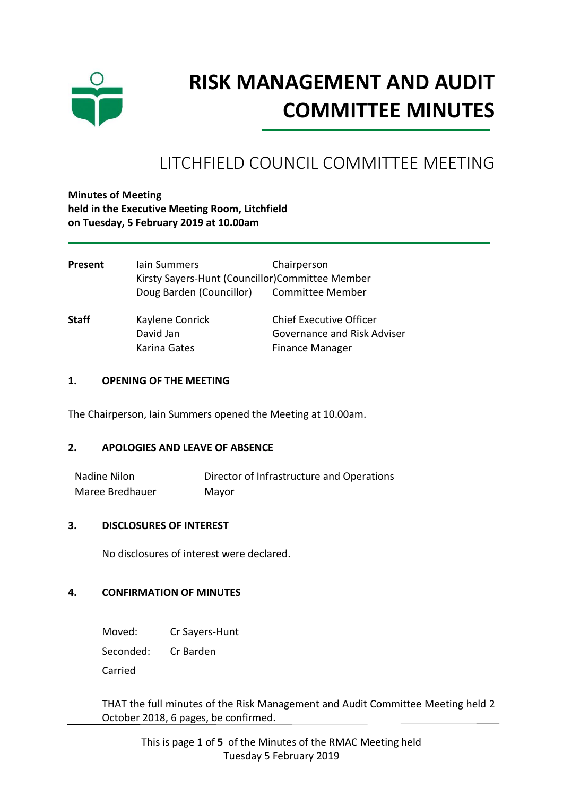

# **RISK MANAGEMENT AND AUDIT COMMITTEE MINUTES**

# LITCHFIELD COUNCIL COMMITTEE MEETING

# **Minutes of Meeting held in the Executive Meeting Room, Litchfield on Tuesday, 5 February 2019 at 10.00am**

| Present      | lain Summers                                    | Chairperson                    |
|--------------|-------------------------------------------------|--------------------------------|
|              | Kirsty Sayers-Hunt (Councillor)Committee Member |                                |
|              | Doug Barden (Councillor) Committee Member       |                                |
| <b>Staff</b> | Kaylene Conrick                                 | <b>Chief Executive Officer</b> |
|              | David Jan                                       | Governance and Risk Adviser    |
|              | Karina Gates                                    | <b>Finance Manager</b>         |

### **1. OPENING OF THE MEETING**

The Chairperson, Iain Summers opened the Meeting at 10.00am.

#### **2. APOLOGIES AND LEAVE OF ABSENCE**

Nadine Nilon Director of Infrastructure and Operations Maree Bredhauer Mayor

#### **3. DISCLOSURES OF INTEREST**

No disclosures of interest were declared.

#### **4. CONFIRMATION OF MINUTES**

Moved: Cr Sayers-Hunt

Seconded: Cr Barden

Carried

THAT the full minutes of the Risk Management and Audit Committee Meeting held 2 October 2018, 6 pages, be confirmed.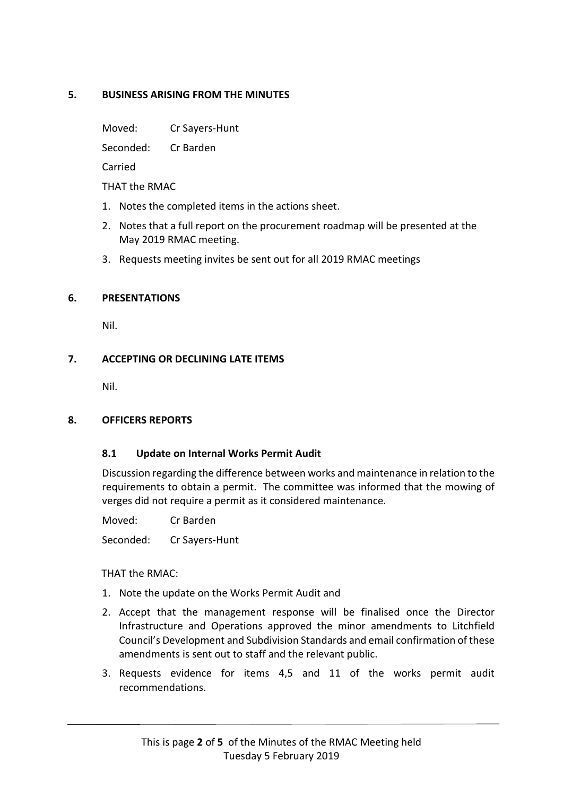# **5. BUSINESS ARISING FROM THE MINUTES**

Moved: Cr Sayers-Hunt

Seconded: Cr Barden

Carried

THAT the RMAC

- 1. Notes the completed items in the actions sheet.
- 2. Notes that a full report on the procurement roadmap will be presented at the May 2019 RMAC meeting.
- 3. Requests meeting invites be sent out for all 2019 RMAC meetings

# **6. PRESENTATIONS**

Nil.

# **7. ACCEPTING OR DECLINING LATE ITEMS**

Nil.

# **8. OFFICERS REPORTS**

# **8.1 Update on Internal Works Permit Audit**

Discussion regarding the difference between works and maintenance in relation to the requirements to obtain a permit. The committee was informed that the mowing of verges did not require a permit as it considered maintenance.

Moved: Cr Barden

Seconded: Cr Sayers-Hunt

THAT the RMAC:

- 1. Note the update on the Works Permit Audit and
- 2. Accept that the management response will be finalised once the Director Infrastructure and Operations approved the minor amendments to Litchfield Council's Development and Subdivision Standards and email confirmation of these amendments is sent out to staff and the relevant public.
- 3. Requests evidence for items 4,5 and 11 of the works permit audit recommendations.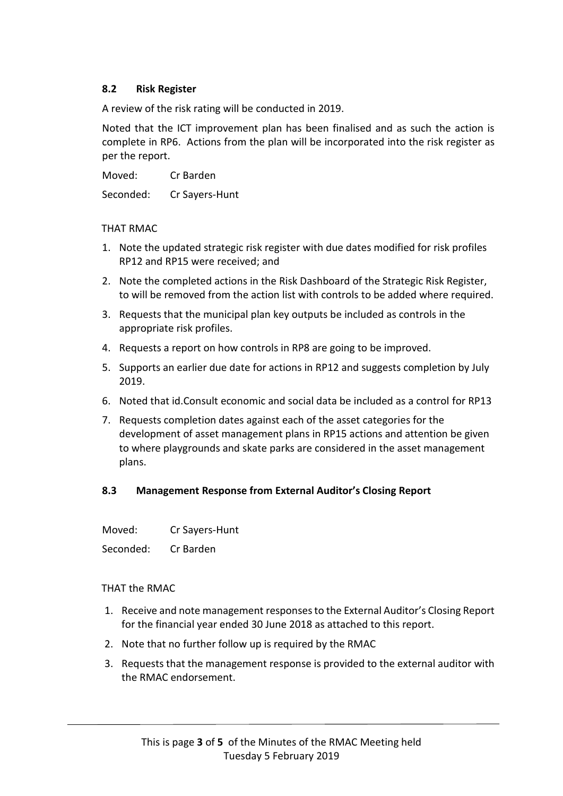# **8.2 Risk Register**

A review of the risk rating will be conducted in 2019.

Noted that the ICT improvement plan has been finalised and as such the action is complete in RP6. Actions from the plan will be incorporated into the risk register as per the report.

Moved: Cr Barden

Seconded: Cr Sayers-Hunt

#### THAT RMAC

- 1. Note the updated strategic risk register with due dates modified for risk profiles RP12 and RP15 were received; and
- 2. Note the completed actions in the Risk Dashboard of the Strategic Risk Register, to will be removed from the action list with controls to be added where required.
- 3. Requests that the municipal plan key outputs be included as controls in the appropriate risk profiles.
- 4. Requests a report on how controls in RP8 are going to be improved.
- 5. Supports an earlier due date for actions in RP12 and suggests completion by July 2019.
- 6. Noted that id.Consult economic and social data be included as a control for RP13
- 7. Requests completion dates against each of the asset categories for the development of asset management plans in RP15 actions and attention be given to where playgrounds and skate parks are considered in the asset management plans.

# **8.3 Management Response from External Auditor's Closing Report**

Moved: Cr Sayers-Hunt

Seconded: Cr Barden

#### THAT the RMAC

- 1. Receive and note management responses to the External Auditor's Closing Report for the financial year ended 30 June 2018 as attached to this report.
- 2. Note that no further follow up is required by the RMAC
- 3. Requests that the management response is provided to the external auditor with the RMAC endorsement.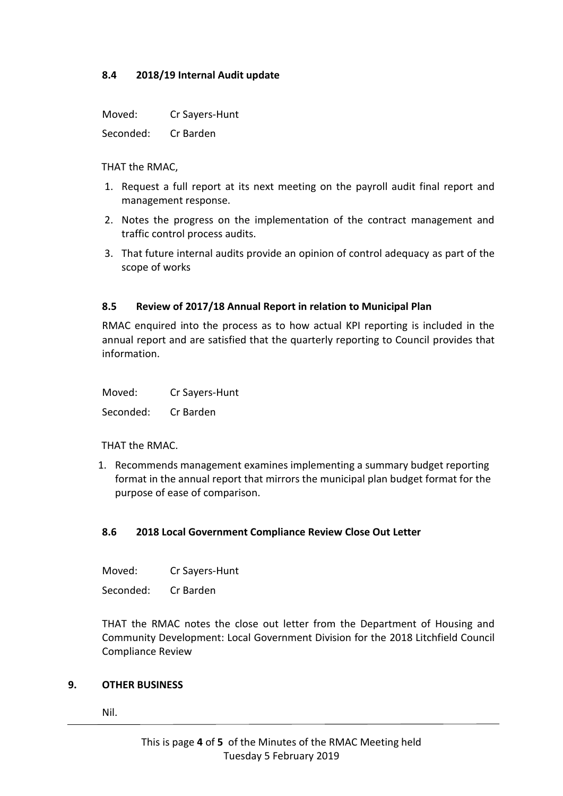# **8.4 2018/19 Internal Audit update**

Moved: Cr Sayers-Hunt

Seconded: Cr Barden

THAT the RMAC,

- 1. Request a full report at its next meeting on the payroll audit final report and management response.
- 2. Notes the progress on the implementation of the contract management and traffic control process audits.
- 3. That future internal audits provide an opinion of control adequacy as part of the scope of works

# **8.5 Review of 2017/18 Annual Report in relation to Municipal Plan**

RMAC enquired into the process as to how actual KPI reporting is included in the annual report and are satisfied that the quarterly reporting to Council provides that information.

Moved: Cr Sayers-Hunt

Seconded: Cr Barden

#### THAT the RMAC.

1. Recommends management examines implementing a summary budget reporting format in the annual report that mirrors the municipal plan budget format for the purpose of ease of comparison.

# **8.6 2018 Local Government Compliance Review Close Out Letter**

Moved: Cr Sayers-Hunt

Seconded: Cr Barden

THAT the RMAC notes the close out letter from the Department of Housing and Community Development: Local Government Division for the 2018 Litchfield Council Compliance Review

#### **9. OTHER BUSINESS**

Nil.